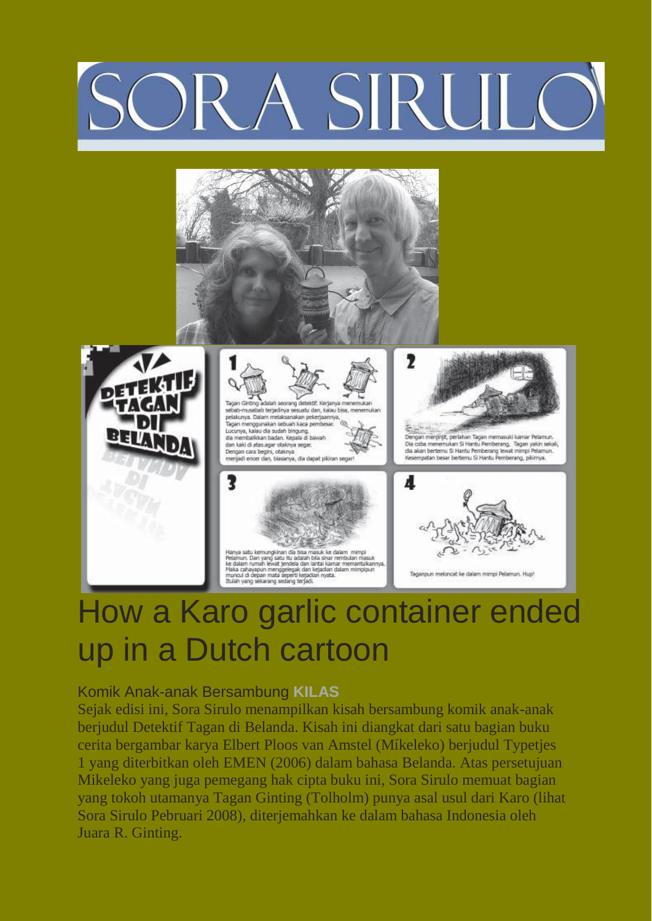## ORA SIRUL





## How a Karo garlic container ended up in a Dutch cartoon

## Komik Anak-anak Bersambung **KILAS**

Sejak edisi ini, Sora Sirulo menampilkan kisah bersambung komik anak-anak berjudul Detektif Tagan di Belanda. Kisah ini diangkat dari satu bagian buku cerita bergambar karya Elbert Ploos van Amstel (Míkeleko) berjudul Typetjes 1 yang diterbitkan oleh EMEN (2006) dalam bahasa Belanda. Atas persetujuan Mikeleko yang juga pemegang hak cipta buku ini, Sora Sirulo memuat bagian yang tokoh utamanya Tagan Ginting (Tolholm) punya asal usul dari Karo (lihat Sora Sirulo Pebruari 2008), diterjemahkan ke dalam bahasa Indonesia oleh Juara R. Ginting.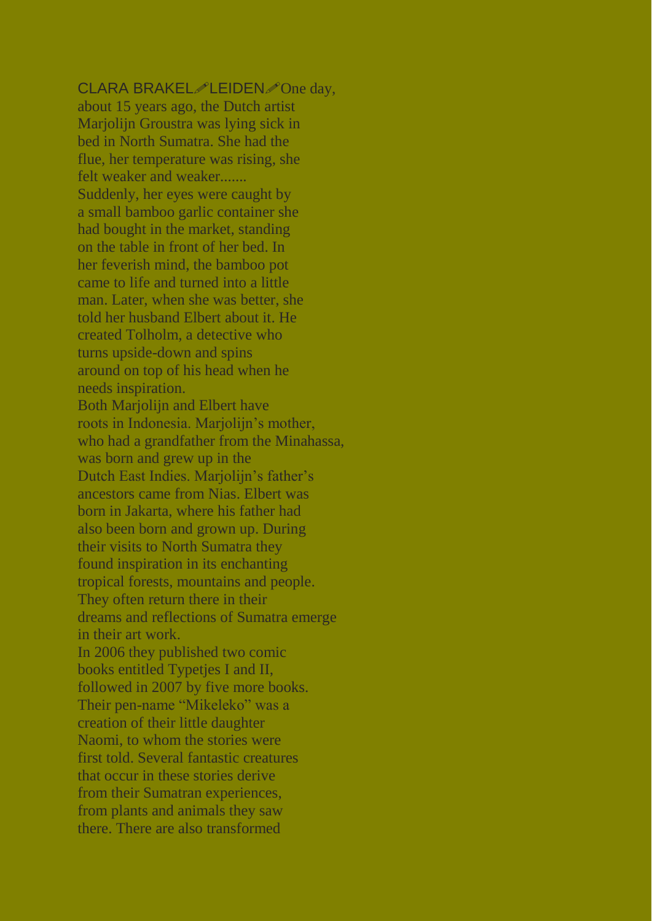## CLARA BRAKEL $\mathscr{P}$ LEIDEN $\mathscr{P}$ One day,

about 15 years ago, the Dutch artist Marjolijn Groustra was lying sick in bed in North Sumatra. She had the flue, her temperature was rising, she felt weaker and weaker....... Suddenly, her eyes were caught by a small bamboo garlic container she had bought in the market, standing on the table in front of her bed. In her feverish mind, the bamboo pot came to life and turned into a little man. Later, when she was better, she told her husband Elbert about it. He created Tolholm, a detective who turns upside-down and spins around on top of his head when he needs inspiration. Both Marjolijn and Elbert have roots in Indonesia. Marjolijn's mother, who had a grandfather from the Minahassa, was born and grew up in the Dutch East Indies. Marjolijn's father's ancestors came from Nias. Elbert was born in Jakarta, where his father had also been born and grown up. During their visits to North Sumatra they found inspiration in its enchanting tropical forests, mountains and people. They often return there in their dreams and reflections of Sumatra emerge in their art work. In 2006 they published two comic books entitled Typetjes I and II, followed in 2007 by five more books. Their pen-name "Mikeleko" was a creation of their little daughter Naomi, to whom the stories were first told. Several fantastic creatures that occur in these stories derive from their Sumatran experiences,

from plants and animals they saw

there. There are also transformed